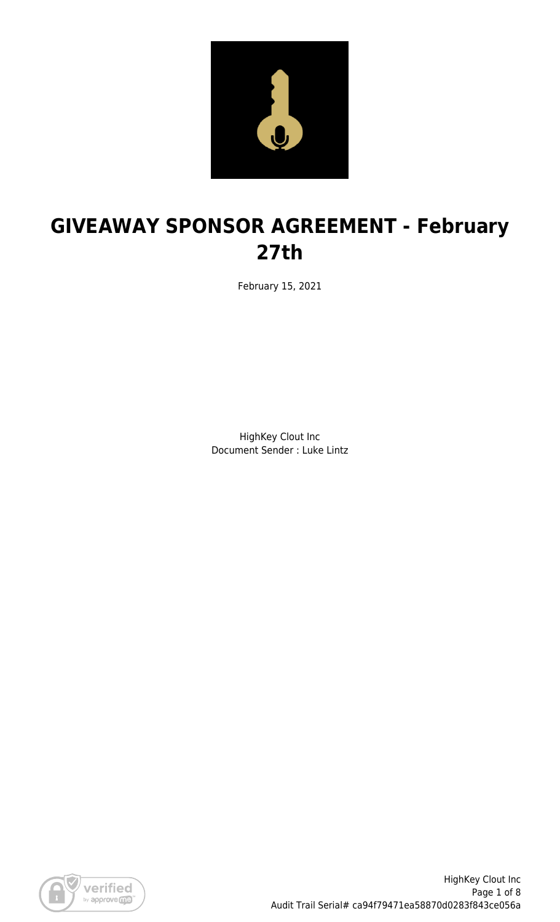

# **GIVEAWAY SPONSOR AGREEMENT - February 27th**

February 15, 2021

HighKey Clout Inc Document Sender : Luke Lintz

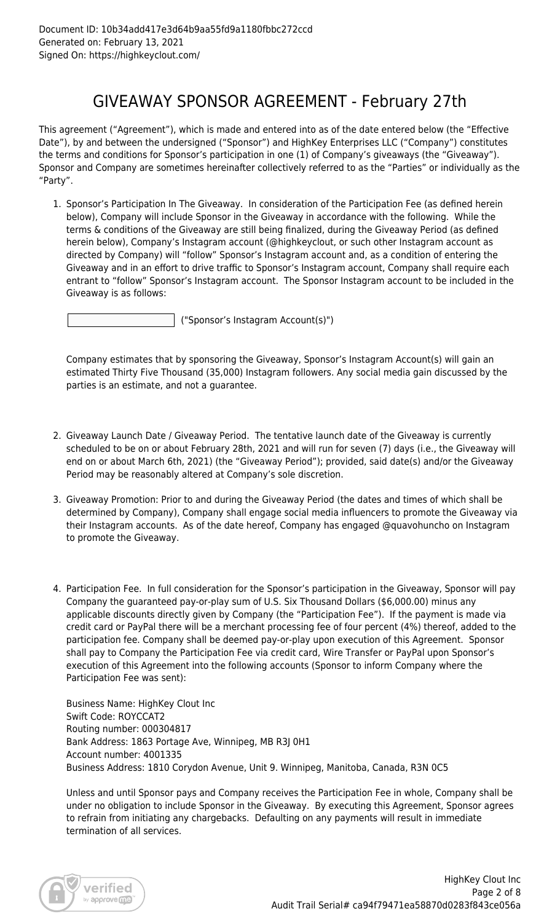### GIVEAWAY SPONSOR AGREEMENT - February 27th

This agreement ("Agreement"), which is made and entered into as of the date entered below (the "Effective Date"), by and between the undersigned ("Sponsor") and HighKey Enterprises LLC ("Company") constitutes the terms and conditions for Sponsor's participation in one (1) of Company's giveaways (the "Giveaway"). Sponsor and Company are sometimes hereinafter collectively referred to as the "Parties" or individually as the "Party".

1. Sponsor's Participation In The Giveaway. In consideration of the Participation Fee (as defined herein below), Company will include Sponsor in the Giveaway in accordance with the following. While the terms & conditions of the Giveaway are still being finalized, during the Giveaway Period (as defined herein below), Company's Instagram account (@highkeyclout, or such other Instagram account as directed by Company) will "follow" Sponsor's Instagram account and, as a condition of entering the Giveaway and in an effort to drive traffic to Sponsor's Instagram account, Company shall require each entrant to "follow" Sponsor's Instagram account. The Sponsor Instagram account to be included in the Giveaway is as follows:

("Sponsor's Instagram Account(s)")

Company estimates that by sponsoring the Giveaway, Sponsor's Instagram Account(s) will gain an estimated Thirty Five Thousand (35,000) Instagram followers. Any social media gain discussed by the parties is an estimate, and not a guarantee.

- 2. Giveaway Launch Date / Giveaway Period. The tentative launch date of the Giveaway is currently scheduled to be on or about February 28th, 2021 and will run for seven (7) days (i.e., the Giveaway will end on or about March 6th, 2021) (the "Giveaway Period"); provided, said date(s) and/or the Giveaway Period may be reasonably altered at Company's sole discretion.
- 3. Giveaway Promotion: Prior to and during the Giveaway Period (the dates and times of which shall be determined by Company), Company shall engage social media influencers to promote the Giveaway via their Instagram accounts. As of the date hereof, Company has engaged @quavohuncho on Instagram to promote the Giveaway.
- 4. Participation Fee. In full consideration for the Sponsor's participation in the Giveaway, Sponsor will pay Company the guaranteed pay-or-play sum of U.S. Six Thousand Dollars (\$6,000.00) minus any applicable discounts directly given by Company (the "Participation Fee"). If the payment is made via credit card or PayPal there will be a merchant processing fee of four percent (4%) thereof, added to the participation fee. Company shall be deemed pay-or-play upon execution of this Agreement. Sponsor shall pay to Company the Participation Fee via credit card, Wire Transfer or PayPal upon Sponsor's execution of this Agreement into the following accounts (Sponsor to inform Company where the Participation Fee was sent):

Business Name: HighKey Clout Inc Swift Code: ROYCCAT2 Routing number: 000304817 Bank Address: 1863 Portage Ave, Winnipeg, MB R3J 0H1 Account number: 4001335 Business Address: 1810 Corydon Avenue, Unit 9. Winnipeg, Manitoba, Canada, R3N 0C5

Unless and until Sponsor pays and Company receives the Participation Fee in whole, Company shall be under no obligation to include Sponsor in the Giveaway. By executing this Agreement, Sponsor agrees to refrain from initiating any chargebacks. Defaulting on any payments will result in immediate termination of all services.

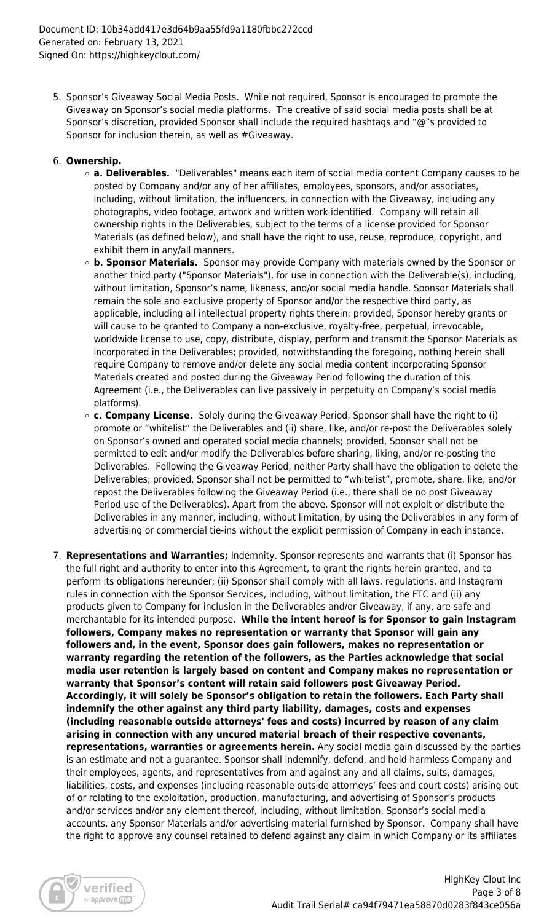5. Sponsor's Giveaway Social Media Posts. While not required, Sponsor is encouraged to promote the Giveaway on Sponsor's social media platforms. The creative of said social media posts shall be at Sponsor's discretion, provided Sponsor shall include the required hashtags and "@"s provided to Sponsor for inclusion therein, as well as #Giveaway.

#### 6. **Ownership.**

- **a. Deliverables.** "Deliverables" means each item of social media content Company causes to be posted by Company and/or any of her affiliates, employees, sponsors, and/or associates, including, without limitation, the influencers, in connection with the Giveaway, including any photographs, video footage, artwork and written work identified. Company will retain all ownership rights in the Deliverables, subject to the terms of a license provided for Sponsor Materials (as defined below), and shall have the right to use, reuse, reproduce, copyright, and exhibit them in any/all manners.
- **b. Sponsor Materials.** Sponsor may provide Company with materials owned by the Sponsor or another third party ("Sponsor Materials"), for use in connection with the Deliverable(s), including, without limitation, Sponsor's name, likeness, and/or social media handle. Sponsor Materials shall remain the sole and exclusive property of Sponsor and/or the respective third party, as applicable, including all intellectual property rights therein; provided, Sponsor hereby grants or will cause to be granted to Company a non-exclusive, royalty-free, perpetual, irrevocable, worldwide license to use, copy, distribute, display, perform and transmit the Sponsor Materials as incorporated in the Deliverables; provided, notwithstanding the foregoing, nothing herein shall require Company to remove and/or delete any social media content incorporating Sponsor Materials created and posted during the Giveaway Period following the duration of this Agreement (i.e., the Deliverables can live passively in perpetuity on Company's social media platforms).
- **c. Company License.** Solely during the Giveaway Period, Sponsor shall have the right to (i) promote or "whitelist" the Deliverables and (ii) share, like, and/or re-post the Deliverables solely on Sponsor's owned and operated social media channels; provided, Sponsor shall not be permitted to edit and/or modify the Deliverables before sharing, liking, and/or re-posting the Deliverables. Following the Giveaway Period, neither Party shall have the obligation to delete the Deliverables; provided, Sponsor shall not be permitted to "whitelist", promote, share, like, and/or repost the Deliverables following the Giveaway Period (i.e., there shall be no post Giveaway Period use of the Deliverables). Apart from the above, Sponsor will not exploit or distribute the Deliverables in any manner, including, without limitation, by using the Deliverables in any form of advertising or commercial tie-ins without the explicit permission of Company in each instance.
- 7. **Representations and Warranties;** Indemnity. Sponsor represents and warrants that (i) Sponsor has the full right and authority to enter into this Agreement, to grant the rights herein granted, and to perform its obligations hereunder; (ii) Sponsor shall comply with all laws, regulations, and Instagram rules in connection with the Sponsor Services, including, without limitation, the FTC and (ii) any products given to Company for inclusion in the Deliverables and/or Giveaway, if any, are safe and merchantable for its intended purpose. **While the intent hereof is for Sponsor to gain Instagram followers, Company makes no representation or warranty that Sponsor will gain any followers and, in the event, Sponsor does gain followers, makes no representation or warranty regarding the retention of the followers, as the Parties acknowledge that social media user retention is largely based on content and Company makes no representation or warranty that Sponsor's content will retain said followers post Giveaway Period. Accordingly, it will solely be Sponsor's obligation to retain the followers. Each Party shall indemnify the other against any third party liability, damages, costs and expenses (including reasonable outside attorneys' fees and costs) incurred by reason of any claim arising in connection with any uncured material breach of their respective covenants, representations, warranties or agreements herein.** Any social media gain discussed by the parties is an estimate and not a guarantee. Sponsor shall indemnify, defend, and hold harmless Company and their employees, agents, and representatives from and against any and all claims, suits, damages, liabilities, costs, and expenses (including reasonable outside attorneys' fees and court costs) arising out of or relating to the exploitation, production, manufacturing, and advertising of Sponsor's products and/or services and/or any element thereof, including, without limitation, Sponsor's social media accounts, any Sponsor Materials and/or advertising material furnished by Sponsor. Company shall have the right to approve any counsel retained to defend against any claim in which Company or its affiliates

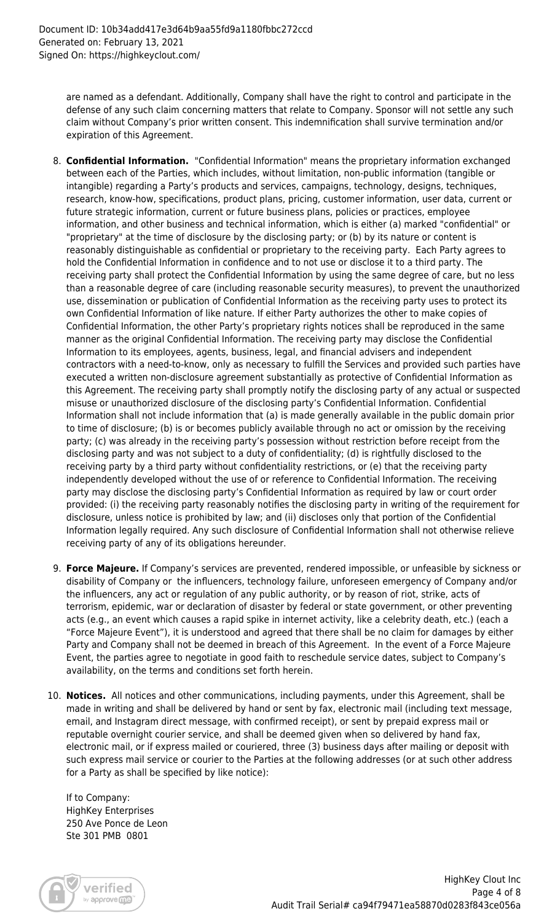are named as a defendant. Additionally, Company shall have the right to control and participate in the defense of any such claim concerning matters that relate to Company. Sponsor will not settle any such claim without Company's prior written consent. This indemnification shall survive termination and/or expiration of this Agreement.

- 8. **Confidential Information.** "Confidential Information" means the proprietary information exchanged between each of the Parties, which includes, without limitation, non-public information (tangible or intangible) regarding a Party's products and services, campaigns, technology, designs, techniques, research, know-how, specifications, product plans, pricing, customer information, user data, current or future strategic information, current or future business plans, policies or practices, employee information, and other business and technical information, which is either (a) marked "confidential" or "proprietary" at the time of disclosure by the disclosing party; or (b) by its nature or content is reasonably distinguishable as confidential or proprietary to the receiving party. Each Party agrees to hold the Confidential Information in confidence and to not use or disclose it to a third party. The receiving party shall protect the Confidential Information by using the same degree of care, but no less than a reasonable degree of care (including reasonable security measures), to prevent the unauthorized use, dissemination or publication of Confidential Information as the receiving party uses to protect its own Confidential Information of like nature. If either Party authorizes the other to make copies of Confidential Information, the other Party's proprietary rights notices shall be reproduced in the same manner as the original Confidential Information. The receiving party may disclose the Confidential Information to its employees, agents, business, legal, and financial advisers and independent contractors with a need-to-know, only as necessary to fulfill the Services and provided such parties have executed a written non-disclosure agreement substantially as protective of Confidential Information as this Agreement. The receiving party shall promptly notify the disclosing party of any actual or suspected misuse or unauthorized disclosure of the disclosing party's Confidential Information. Confidential Information shall not include information that (a) is made generally available in the public domain prior to time of disclosure; (b) is or becomes publicly available through no act or omission by the receiving party; (c) was already in the receiving party's possession without restriction before receipt from the disclosing party and was not subject to a duty of confidentiality; (d) is rightfully disclosed to the receiving party by a third party without confidentiality restrictions, or (e) that the receiving party independently developed without the use of or reference to Confidential Information. The receiving party may disclose the disclosing party's Confidential Information as required by law or court order provided: (i) the receiving party reasonably notifies the disclosing party in writing of the requirement for disclosure, unless notice is prohibited by law; and (ii) discloses only that portion of the Confidential Information legally required. Any such disclosure of Confidential Information shall not otherwise relieve receiving party of any of its obligations hereunder.
- 9. **Force Majeure.** If Company's services are prevented, rendered impossible, or unfeasible by sickness or disability of Company or the influencers, technology failure, unforeseen emergency of Company and/or the influencers, any act or regulation of any public authority, or by reason of riot, strike, acts of terrorism, epidemic, war or declaration of disaster by federal or state government, or other preventing acts (e.g., an event which causes a rapid spike in internet activity, like a celebrity death, etc.) (each a "Force Majeure Event"), it is understood and agreed that there shall be no claim for damages by either Party and Company shall not be deemed in breach of this Agreement. In the event of a Force Majeure Event, the parties agree to negotiate in good faith to reschedule service dates, subject to Company's availability, on the terms and conditions set forth herein.
- 10. **Notices.** All notices and other communications, including payments, under this Agreement, shall be made in writing and shall be delivered by hand or sent by fax, electronic mail (including text message, email, and Instagram direct message, with confirmed receipt), or sent by prepaid express mail or reputable overnight courier service, and shall be deemed given when so delivered by hand fax, electronic mail, or if express mailed or couriered, three (3) business days after mailing or deposit with such express mail service or courier to the Parties at the following addresses (or at such other address for a Party as shall be specified by like notice):

If to Company: HighKey Enterprises 250 Ave Ponce de Leon Ste 301 PMB 0801

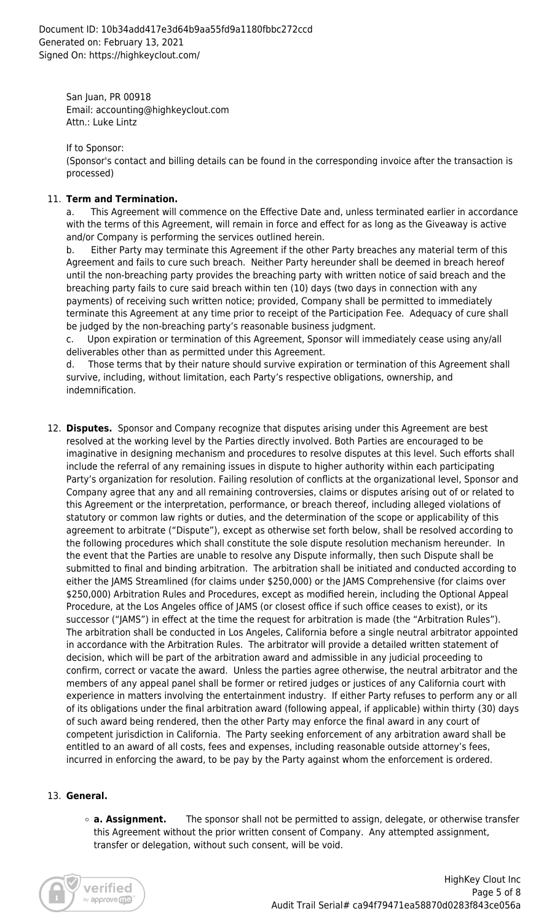San Juan, PR 00918 Email: accounting@highkeyclout.com Attn.: Luke Lintz

If to Sponsor:

(Sponsor's contact and billing details can be found in the corresponding invoice after the transaction is processed)

### 11. **Term and Termination.**

a. This Agreement will commence on the Effective Date and, unless terminated earlier in accordance with the terms of this Agreement, will remain in force and effect for as long as the Giveaway is active and/or Company is performing the services outlined herein.

b. Either Party may terminate this Agreement if the other Party breaches any material term of this Agreement and fails to cure such breach. Neither Party hereunder shall be deemed in breach hereof until the non-breaching party provides the breaching party with written notice of said breach and the breaching party fails to cure said breach within ten (10) days (two days in connection with any payments) of receiving such written notice; provided, Company shall be permitted to immediately terminate this Agreement at any time prior to receipt of the Participation Fee. Adequacy of cure shall be judged by the non-breaching party's reasonable business judgment.

c. Upon expiration or termination of this Agreement, Sponsor will immediately cease using any/all deliverables other than as permitted under this Agreement.

d. Those terms that by their nature should survive expiration or termination of this Agreement shall survive, including, without limitation, each Party's respective obligations, ownership, and indemnification.

12. **Disputes.** Sponsor and Company recognize that disputes arising under this Agreement are best resolved at the working level by the Parties directly involved. Both Parties are encouraged to be imaginative in designing mechanism and procedures to resolve disputes at this level. Such efforts shall include the referral of any remaining issues in dispute to higher authority within each participating Party's organization for resolution. Failing resolution of conflicts at the organizational level, Sponsor and Company agree that any and all remaining controversies, claims or disputes arising out of or related to this Agreement or the interpretation, performance, or breach thereof, including alleged violations of statutory or common law rights or duties, and the determination of the scope or applicability of this agreement to arbitrate ("Dispute"), except as otherwise set forth below, shall be resolved according to the following procedures which shall constitute the sole dispute resolution mechanism hereunder. In the event that the Parties are unable to resolve any Dispute informally, then such Dispute shall be submitted to final and binding arbitration. The arbitration shall be initiated and conducted according to either the JAMS Streamlined (for claims under \$250,000) or the JAMS Comprehensive (for claims over \$250,000) Arbitration Rules and Procedures, except as modified herein, including the Optional Appeal Procedure, at the Los Angeles office of JAMS (or closest office if such office ceases to exist), or its successor ("JAMS") in effect at the time the request for arbitration is made (the "Arbitration Rules"). The arbitration shall be conducted in Los Angeles, California before a single neutral arbitrator appointed in accordance with the Arbitration Rules. The arbitrator will provide a detailed written statement of decision, which will be part of the arbitration award and admissible in any judicial proceeding to confirm, correct or vacate the award. Unless the parties agree otherwise, the neutral arbitrator and the members of any appeal panel shall be former or retired judges or justices of any California court with experience in matters involving the entertainment industry. If either Party refuses to perform any or all of its obligations under the final arbitration award (following appeal, if applicable) within thirty (30) days of such award being rendered, then the other Party may enforce the final award in any court of competent jurisdiction in California. The Party seeking enforcement of any arbitration award shall be entitled to an award of all costs, fees and expenses, including reasonable outside attorney's fees, incurred in enforcing the award, to be pay by the Party against whom the enforcement is ordered.

### 13. **General.**

**a. Assignment.** The sponsor shall not be permitted to assign, delegate, or otherwise transfer this Agreement without the prior written consent of Company. Any attempted assignment, transfer or delegation, without such consent, will be void.

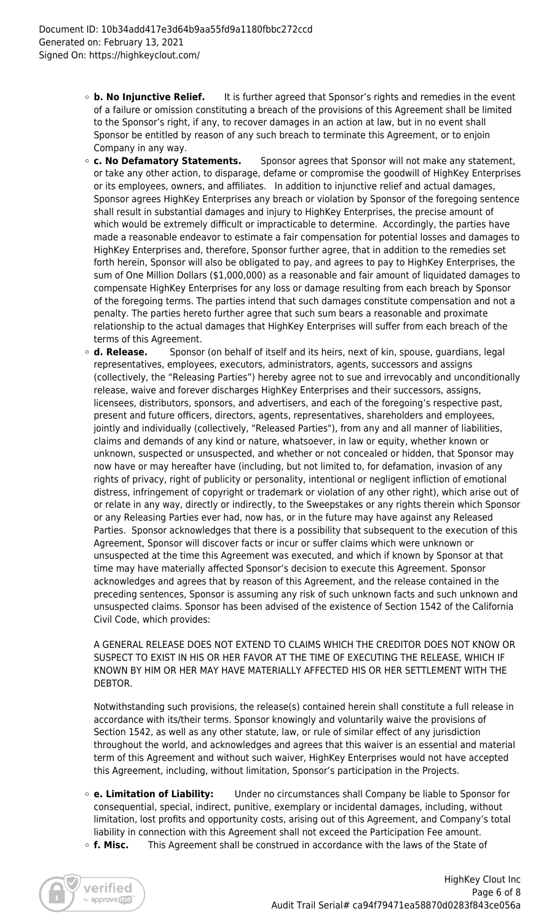- **b. No Injunctive Relief.** It is further agreed that Sponsor's rights and remedies in the event of a failure or omission constituting a breach of the provisions of this Agreement shall be limited to the Sponsor's right, if any, to recover damages in an action at law, but in no event shall Sponsor be entitled by reason of any such breach to terminate this Agreement, or to enjoin Company in any way.
- **c. No Defamatory Statements.** Sponsor agrees that Sponsor will not make any statement, or take any other action, to disparage, defame or compromise the goodwill of HighKey Enterprises or its employees, owners, and affiliates. In addition to injunctive relief and actual damages, Sponsor agrees HighKey Enterprises any breach or violation by Sponsor of the foregoing sentence shall result in substantial damages and injury to HighKey Enterprises, the precise amount of which would be extremely difficult or impracticable to determine. Accordingly, the parties have made a reasonable endeavor to estimate a fair compensation for potential losses and damages to HighKey Enterprises and, therefore, Sponsor further agree, that in addition to the remedies set forth herein, Sponsor will also be obligated to pay, and agrees to pay to HighKey Enterprises, the sum of One Million Dollars (\$1,000,000) as a reasonable and fair amount of liquidated damages to compensate HighKey Enterprises for any loss or damage resulting from each breach by Sponsor of the foregoing terms. The parties intend that such damages constitute compensation and not a penalty. The parties hereto further agree that such sum bears a reasonable and proximate relationship to the actual damages that HighKey Enterprises will suffer from each breach of the terms of this Agreement.
- **d. Release.** Sponsor (on behalf of itself and its heirs, next of kin, spouse, guardians, legal representatives, employees, executors, administrators, agents, successors and assigns (collectively, the "Releasing Parties") hereby agree not to sue and irrevocably and unconditionally release, waive and forever discharges HighKey Enterprises and their successors, assigns, licensees, distributors, sponsors, and advertisers, and each of the foregoing's respective past, present and future officers, directors, agents, representatives, shareholders and employees, jointly and individually (collectively, "Released Parties"), from any and all manner of liabilities, claims and demands of any kind or nature, whatsoever, in law or equity, whether known or unknown, suspected or unsuspected, and whether or not concealed or hidden, that Sponsor may now have or may hereafter have (including, but not limited to, for defamation, invasion of any rights of privacy, right of publicity or personality, intentional or negligent infliction of emotional distress, infringement of copyright or trademark or violation of any other right), which arise out of or relate in any way, directly or indirectly, to the Sweepstakes or any rights therein which Sponsor or any Releasing Parties ever had, now has, or in the future may have against any Released Parties. Sponsor acknowledges that there is a possibility that subsequent to the execution of this Agreement, Sponsor will discover facts or incur or suffer claims which were unknown or unsuspected at the time this Agreement was executed, and which if known by Sponsor at that time may have materially affected Sponsor's decision to execute this Agreement. Sponsor acknowledges and agrees that by reason of this Agreement, and the release contained in the preceding sentences, Sponsor is assuming any risk of such unknown facts and such unknown and unsuspected claims. Sponsor has been advised of the existence of Section 1542 of the California Civil Code, which provides:

A GENERAL RELEASE DOES NOT EXTEND TO CLAIMS WHICH THE CREDITOR DOES NOT KNOW OR SUSPECT TO EXIST IN HIS OR HER FAVOR AT THE TIME OF EXECUTING THE RELEASE, WHICH IF KNOWN BY HIM OR HER MAY HAVE MATERIALLY AFFECTED HIS OR HER SETTLEMENT WITH THE DEBTOR.

Notwithstanding such provisions, the release(s) contained herein shall constitute a full release in accordance with its/their terms. Sponsor knowingly and voluntarily waive the provisions of Section 1542, as well as any other statute, law, or rule of similar effect of any jurisdiction throughout the world, and acknowledges and agrees that this waiver is an essential and material term of this Agreement and without such waiver, HighKey Enterprises would not have accepted this Agreement, including, without limitation, Sponsor's participation in the Projects.

- **e. Limitation of Liability:** Under no circumstances shall Company be liable to Sponsor for consequential, special, indirect, punitive, exemplary or incidental damages, including, without limitation, lost profits and opportunity costs, arising out of this Agreement, and Company's total liability in connection with this Agreement shall not exceed the Participation Fee amount.
- **f. Misc.** This Agreement shall be construed in accordance with the laws of the State of

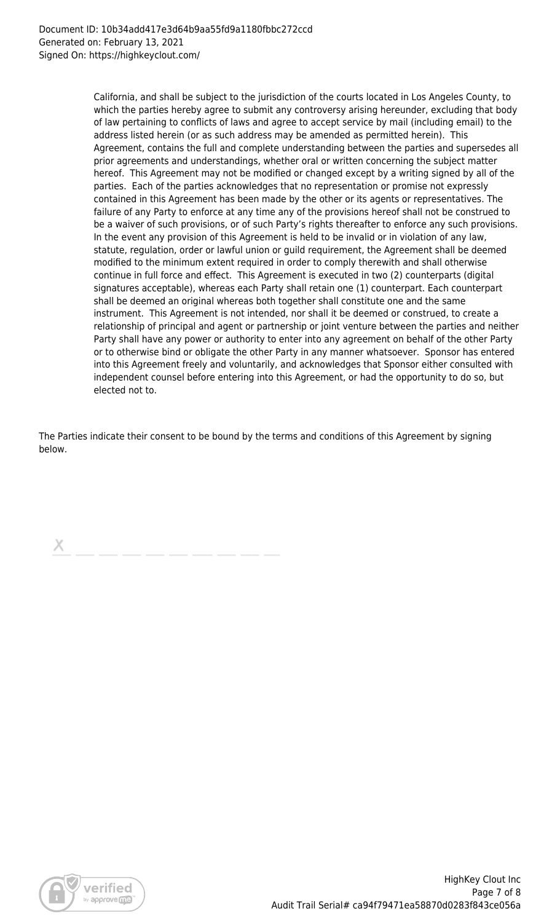California, and shall be subject to the jurisdiction of the courts located in Los Angeles County, to which the parties hereby agree to submit any controversy arising hereunder, excluding that body of law pertaining to conflicts of laws and agree to accept service by mail (including email) to the address listed herein (or as such address may be amended as permitted herein). This Agreement, contains the full and complete understanding between the parties and supersedes all prior agreements and understandings, whether oral or written concerning the subject matter hereof. This Agreement may not be modified or changed except by a writing signed by all of the parties. Each of the parties acknowledges that no representation or promise not expressly contained in this Agreement has been made by the other or its agents or representatives. The failure of any Party to enforce at any time any of the provisions hereof shall not be construed to be a waiver of such provisions, or of such Party's rights thereafter to enforce any such provisions. In the event any provision of this Agreement is held to be invalid or in violation of any law, statute, regulation, order or lawful union or guild requirement, the Agreement shall be deemed modified to the minimum extent required in order to comply therewith and shall otherwise continue in full force and effect. This Agreement is executed in two (2) counterparts (digital signatures acceptable), whereas each Party shall retain one (1) counterpart. Each counterpart shall be deemed an original whereas both together shall constitute one and the same instrument. This Agreement is not intended, nor shall it be deemed or construed, to create a relationship of principal and agent or partnership or joint venture between the parties and neither Party shall have any power or authority to enter into any agreement on behalf of the other Party or to otherwise bind or obligate the other Party in any manner whatsoever. Sponsor has entered into this Agreement freely and voluntarily, and acknowledges that Sponsor either consulted with independent counsel before entering into this Agreement, or had the opportunity to do so, but elected not to.

The Parties indicate their consent to be bound by the terms and conditions of this Agreement by signing below.

Х